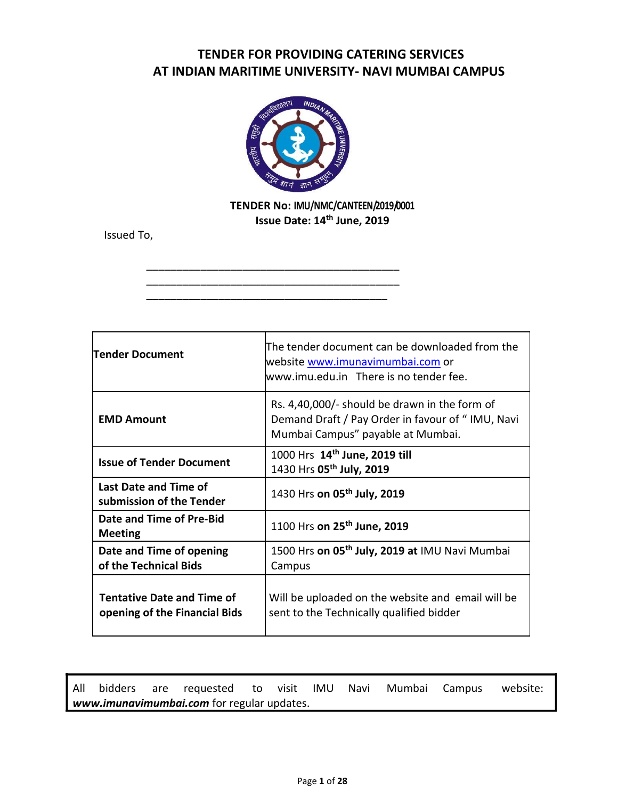# **TENDER FOR PROVIDING CATERING SERVICES AT INDIAN MARITIME UNIVERSITY- NAVI MUMBAI CAMPUS**



\_\_\_\_\_\_\_\_\_\_\_\_\_\_\_\_\_\_\_\_\_\_\_\_\_\_\_\_\_\_\_\_\_\_\_\_\_\_\_\_\_\_ \_\_\_\_\_\_\_\_\_\_\_\_\_\_\_\_\_\_\_\_\_\_\_\_\_\_\_\_\_\_\_\_\_\_\_\_\_\_\_\_\_\_ \_\_\_\_\_\_\_\_\_\_\_\_\_\_\_\_\_\_\_\_\_\_\_\_\_\_\_\_\_\_\_\_\_\_\_\_\_\_\_\_

# **TENDER No: IMU/NMC/CANTEEN/2019/0001 Issue Date: 14th June, 2019**

Issued To,

| lTender Document                                                   | The tender document can be downloaded from the<br>website www.imunavimumbai.com or<br>www.imu.edu.in There is no tender fee.           |
|--------------------------------------------------------------------|----------------------------------------------------------------------------------------------------------------------------------------|
| <b>EMD Amount</b>                                                  | Rs. 4,40,000/- should be drawn in the form of<br>Demand Draft / Pay Order in favour of "IMU, Navi<br>Mumbai Campus" payable at Mumbai. |
| <b>Issue of Tender Document</b>                                    | 1000 Hrs 14th June, 2019 till<br>1430 Hrs 05 <sup>th</sup> July, 2019                                                                  |
| Last Date and Time of<br>submission of the Tender                  | 1430 Hrs on 05 <sup>th</sup> July, 2019                                                                                                |
| Date and Time of Pre-Bid<br><b>Meeting</b>                         | 1100 Hrs on 25 <sup>th</sup> June, 2019                                                                                                |
| Date and Time of opening<br>of the Technical Bids                  | 1500 Hrs on 05 <sup>th</sup> July, 2019 at IMU Navi Mumbai<br>Campus                                                                   |
| <b>Tentative Date and Time of</b><br>opening of the Financial Bids | Will be uploaded on the website and email will be<br>sent to the Technically qualified bidder                                          |

All bidders are requested to visit IMU Navi Mumbai Campus website: *www.imunavimumbai.com* for regular updates.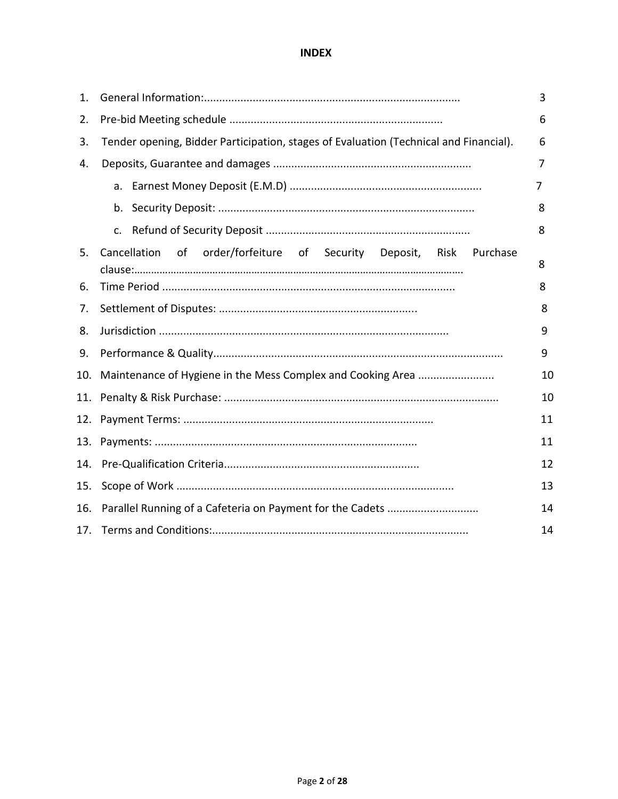## **INDEX**

| 1.  |                                                                                       | 3  |
|-----|---------------------------------------------------------------------------------------|----|
| 2.  |                                                                                       | 6  |
| 3.  | Tender opening, Bidder Participation, stages of Evaluation (Technical and Financial). | 6  |
| 4.  |                                                                                       | 7  |
|     |                                                                                       | 7  |
|     |                                                                                       | 8  |
|     | c.                                                                                    | 8  |
| 5.  | order/forfeiture of Security Deposit, Risk Purchase<br>of<br>Cancellation             | 8  |
| 6.  |                                                                                       | 8  |
| 7.  |                                                                                       | 8  |
| 8.  |                                                                                       | 9  |
| 9.  |                                                                                       | 9  |
| 10. |                                                                                       | 10 |
|     |                                                                                       | 10 |
|     |                                                                                       | 11 |
| 13. |                                                                                       | 11 |
| 14. |                                                                                       | 12 |
| 15. |                                                                                       | 13 |
| 16. |                                                                                       | 14 |
|     |                                                                                       | 14 |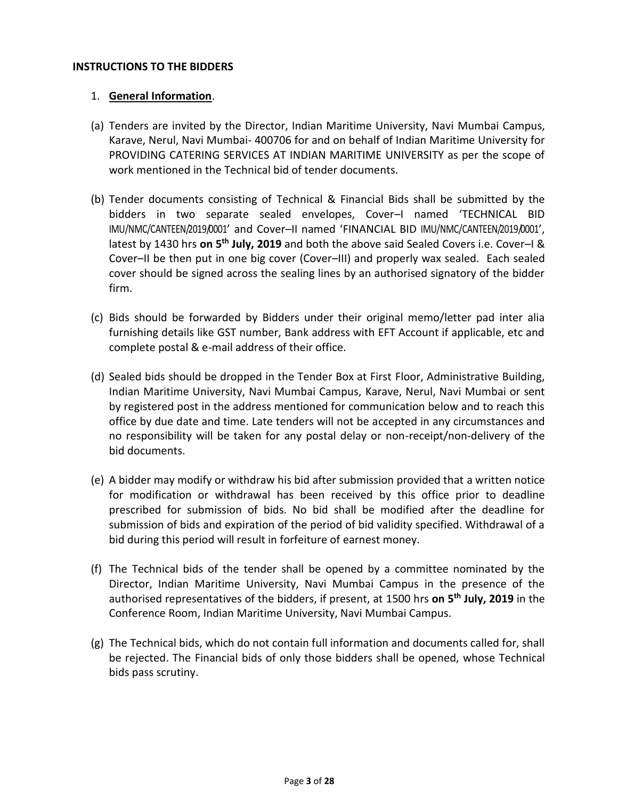### **INSTRUCTIONS TO THE BIDDERS**

### 1. **General Information**.

- (a) Tenders are invited by the Director, Indian Maritime University, Navi Mumbai Campus, Karave, Nerul, Navi Mumbai- 400706 for and on behalf of Indian Maritime University for PROVIDING CATERING SERVICES AT INDIAN MARITIME UNIVERSITY as per the scope of work mentioned in the Technical bid of tender documents.
- (b) Tender documents consisting of Technical & Financial Bids shall be submitted by the bidders in two separate sealed envelopes, Cover–I named 'TECHNICAL BID IMU/NMC/CANTEEN/2019/0001' and Cover–II named 'FINANCIAL BID IMU/NMC/CANTEEN/2019/0001', latest by 1430 hrs on 5<sup>th</sup> July, 2019 and both the above said Sealed Covers i.e. Cover–I & Cover–II be then put in one big cover (Cover–III) and properly wax sealed. Each sealed cover should be signed across the sealing lines by an authorised signatory of the bidder firm.
- (c) Bids should be forwarded by Bidders under their original memo/letter pad inter alia furnishing details like GST number, Bank address with EFT Account if applicable, etc and complete postal & e-mail address of their office.
- (d) Sealed bids should be dropped in the Tender Box at First Floor, Administrative Building, Indian Maritime University, Navi Mumbai Campus, Karave, Nerul, Navi Mumbai or sent by registered post in the address mentioned for communication below and to reach this office by due date and time. Late tenders will not be accepted in any circumstances and no responsibility will be taken for any postal delay or non-receipt/non-delivery of the bid documents.
- (e) A bidder may modify or withdraw his bid after submission provided that a written notice for modification or withdrawal has been received by this office prior to deadline prescribed for submission of bids. No bid shall be modified after the deadline for submission of bids and expiration of the period of bid validity specified. Withdrawal of a bid during this period will result in forfeiture of earnest money.
- (f) The Technical bids of the tender shall be opened by a committee nominated by the Director, Indian Maritime University, Navi Mumbai Campus in the presence of the authorised representatives of the bidders, if present, at 1500 hrs **on 5 th July, 2019** in the Conference Room, Indian Maritime University, Navi Mumbai Campus.
- (g) The Technical bids, which do not contain full information and documents called for, shall be rejected. The Financial bids of only those bidders shall be opened, whose Technical bids pass scrutiny.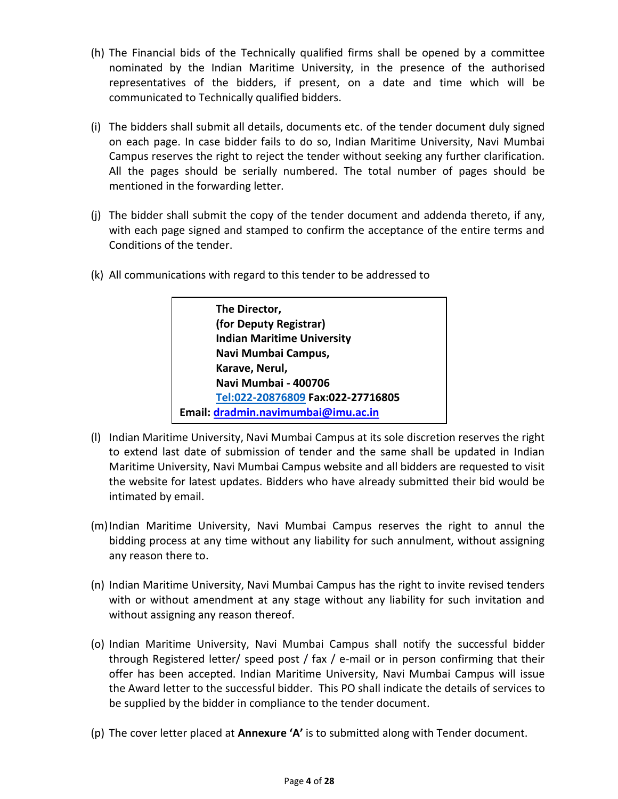- (h) The Financial bids of the Technically qualified firms shall be opened by a committee nominated by the Indian Maritime University, in the presence of the authorised representatives of the bidders, if present, on a date and time which will be communicated to Technically qualified bidders.
- (i) The bidders shall submit all details, documents etc. of the tender document duly signed on each page. In case bidder fails to do so, Indian Maritime University, Navi Mumbai Campus reserves the right to reject the tender without seeking any further clarification. All the pages should be serially numbered. The total number of pages should be mentioned in the forwarding letter.
- (j) The bidder shall submit the copy of the tender document and addenda thereto, if any, with each page signed and stamped to confirm the acceptance of the entire terms and Conditions of the tender.
- (k) All communications with regard to this tender to be addressed to

**The Director, (for Deputy Registrar) Indian Maritime University Navi Mumbai Campus, Karave, Nerul, Navi Mumbai - 400706 Tel:022-20876809 Fax:022-27716805 Email: [dradmin.navimumbai@imu.ac.in](mailto:dradmin.navimumbai@imu.ac.in)**

- (l) Indian Maritime University, Navi Mumbai Campus at its sole discretion reserves the right to extend last date of submission of tender and the same shall be updated in Indian Maritime University, Navi Mumbai Campus website and all bidders are requested to visit the website for latest updates. Bidders who have already submitted their bid would be intimated by email.
- (m)Indian Maritime University, Navi Mumbai Campus reserves the right to annul the bidding process at any time without any liability for such annulment, without assigning any reason there to.
- (n) Indian Maritime University, Navi Mumbai Campus has the right to invite revised tenders with or without amendment at any stage without any liability for such invitation and without assigning any reason thereof.
- (o) Indian Maritime University, Navi Mumbai Campus shall notify the successful bidder through Registered letter/ speed post / fax / e-mail or in person confirming that their offer has been accepted. Indian Maritime University, Navi Mumbai Campus will issue the Award letter to the successful bidder. This PO shall indicate the details of services to be supplied by the bidder in compliance to the tender document.
- (p) The cover letter placed at **Annexure 'A'** is to submitted along with Tender document.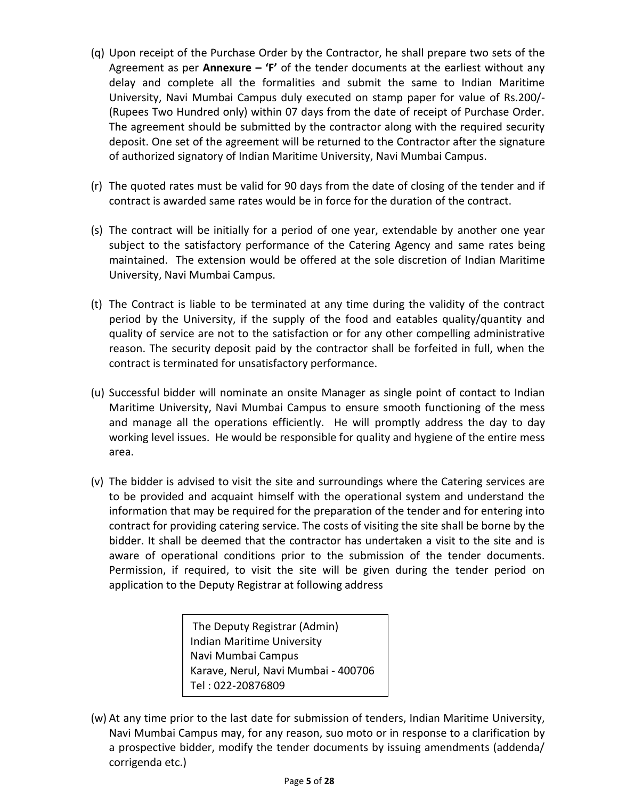- (q) Upon receipt of the Purchase Order by the Contractor, he shall prepare two sets of the Agreement as per **Annexure – 'F'** of the tender documents at the earliest without any delay and complete all the formalities and submit the same to Indian Maritime University, Navi Mumbai Campus duly executed on stamp paper for value of Rs.200/- (Rupees Two Hundred only) within 07 days from the date of receipt of Purchase Order. The agreement should be submitted by the contractor along with the required security deposit. One set of the agreement will be returned to the Contractor after the signature of authorized signatory of Indian Maritime University, Navi Mumbai Campus.
- (r) The quoted rates must be valid for 90 days from the date of closing of the tender and if contract is awarded same rates would be in force for the duration of the contract.
- (s) The contract will be initially for a period of one year, extendable by another one year subject to the satisfactory performance of the Catering Agency and same rates being maintained. The extension would be offered at the sole discretion of Indian Maritime University, Navi Mumbai Campus.
- (t) The Contract is liable to be terminated at any time during the validity of the contract period by the University, if the supply of the food and eatables quality/quantity and quality of service are not to the satisfaction or for any other compelling administrative reason. The security deposit paid by the contractor shall be forfeited in full, when the contract is terminated for unsatisfactory performance.
- (u) Successful bidder will nominate an onsite Manager as single point of contact to Indian Maritime University, Navi Mumbai Campus to ensure smooth functioning of the mess and manage all the operations efficiently. He will promptly address the day to day working level issues. He would be responsible for quality and hygiene of the entire mess area.
- (v) The bidder is advised to visit the site and surroundings where the Catering services are to be provided and acquaint himself with the operational system and understand the information that may be required for the preparation of the tender and for entering into contract for providing catering service. The costs of visiting the site shall be borne by the bidder. It shall be deemed that the contractor has undertaken a visit to the site and is aware of operational conditions prior to the submission of the tender documents. Permission, if required, to visit the site will be given during the tender period on application to the Deputy Registrar at following address

The Deputy Registrar (Admin) Indian Maritime University Navi Mumbai Campus Karave, Nerul, Navi Mumbai - 400706 Tel : 022-20876809

(w) At any time prior to the last date for submission of tenders, Indian Maritime University, Navi Mumbai Campus may, for any reason, suo moto or in response to a clarification by a prospective bidder, modify the tender documents by issuing amendments (addenda/ corrigenda etc.)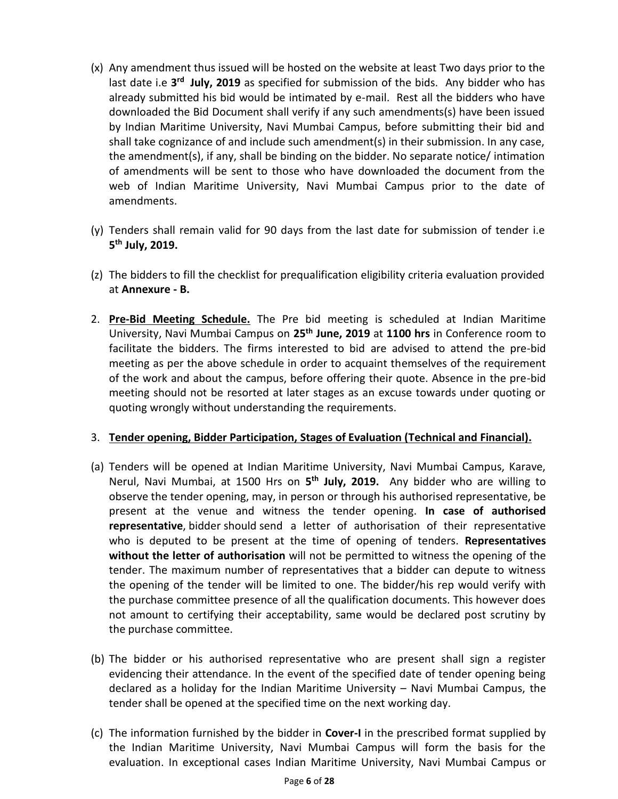- (x) Any amendment thus issued will be hosted on the website at least Two days prior to the last date i.e 3<sup>rd</sup> July, 2019 as specified for submission of the bids. Any bidder who has already submitted his bid would be intimated by e-mail. Rest all the bidders who have downloaded the Bid Document shall verify if any such amendments(s) have been issued by Indian Maritime University, Navi Mumbai Campus, before submitting their bid and shall take cognizance of and include such amendment(s) in their submission. In any case, the amendment(s), if any, shall be binding on the bidder. No separate notice/ intimation of amendments will be sent to those who have downloaded the document from the web of Indian Maritime University, Navi Mumbai Campus prior to the date of amendments.
- (y) Tenders shall remain valid for 90 days from the last date for submission of tender i.e **5 th July, 2019.**
- (z) The bidders to fill the checklist for prequalification eligibility criteria evaluation provided at **Annexure - B.**
- 2. **Pre-Bid Meeting Schedule.** The Pre bid meeting is scheduled at Indian Maritime University, Navi Mumbai Campus on **25th June, 2019** at **1100 hrs** in Conference room to facilitate the bidders. The firms interested to bid are advised to attend the pre-bid meeting as per the above schedule in order to acquaint themselves of the requirement of the work and about the campus, before offering their quote. Absence in the pre-bid meeting should not be resorted at later stages as an excuse towards under quoting or quoting wrongly without understanding the requirements.

### 3. **Tender opening, Bidder Participation, Stages of Evaluation (Technical and Financial).**

- (a) Tenders will be opened at Indian Maritime University, Navi Mumbai Campus, Karave, Nerul, Navi Mumbai, at 1500 Hrs on **5 th July, 2019.** Any bidder who are willing to observe the tender opening, may, in person or through his authorised representative, be present at the venue and witness the tender opening. **In case of authorised representative**, bidder should send a letter of authorisation of their representative who is deputed to be present at the time of opening of tenders. **Representatives without the letter of authorisation** will not be permitted to witness the opening of the tender. The maximum number of representatives that a bidder can depute to witness the opening of the tender will be limited to one. The bidder/his rep would verify with the purchase committee presence of all the qualification documents. This however does not amount to certifying their acceptability, same would be declared post scrutiny by the purchase committee.
- (b) The bidder or his authorised representative who are present shall sign a register evidencing their attendance. In the event of the specified date of tender opening being declared as a holiday for the Indian Maritime University – Navi Mumbai Campus, the tender shall be opened at the specified time on the next working day.
- (c) The information furnished by the bidder in **Cover-I** in the prescribed format supplied by the Indian Maritime University, Navi Mumbai Campus will form the basis for the evaluation. In exceptional cases Indian Maritime University, Navi Mumbai Campus or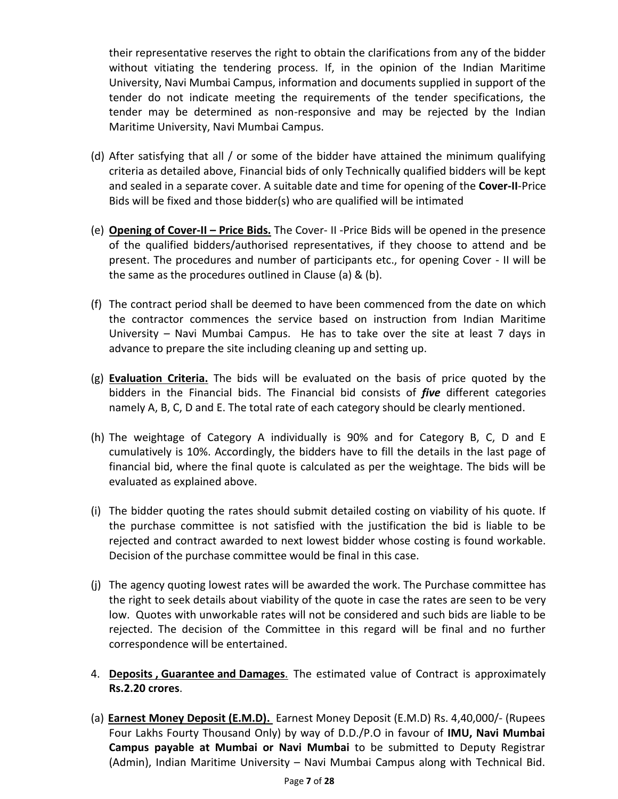their representative reserves the right to obtain the clarifications from any of the bidder without vitiating the tendering process. If, in the opinion of the Indian Maritime University, Navi Mumbai Campus, information and documents supplied in support of the tender do not indicate meeting the requirements of the tender specifications, the tender may be determined as non-responsive and may be rejected by the Indian Maritime University, Navi Mumbai Campus.

- (d) After satisfying that all / or some of the bidder have attained the minimum qualifying criteria as detailed above, Financial bids of only Technically qualified bidders will be kept and sealed in a separate cover. A suitable date and time for opening of the **Cover-II**-Price Bids will be fixed and those bidder(s) who are qualified will be intimated
- (e) **Opening of Cover-II – Price Bids.** The Cover- II -Price Bids will be opened in the presence of the qualified bidders/authorised representatives, if they choose to attend and be present. The procedures and number of participants etc., for opening Cover - II will be the same as the procedures outlined in Clause (a) & (b).
- (f) The contract period shall be deemed to have been commenced from the date on which the contractor commences the service based on instruction from Indian Maritime University – Navi Mumbai Campus. He has to take over the site at least 7 days in advance to prepare the site including cleaning up and setting up.
- (g) **Evaluation Criteria.** The bids will be evaluated on the basis of price quoted by the bidders in the Financial bids. The Financial bid consists of *five* different categories namely A, B, C, D and E. The total rate of each category should be clearly mentioned.
- (h) The weightage of Category A individually is 90% and for Category B, C, D and E cumulatively is 10%. Accordingly, the bidders have to fill the details in the last page of financial bid, where the final quote is calculated as per the weightage. The bids will be evaluated as explained above.
- (i) The bidder quoting the rates should submit detailed costing on viability of his quote. If the purchase committee is not satisfied with the justification the bid is liable to be rejected and contract awarded to next lowest bidder whose costing is found workable. Decision of the purchase committee would be final in this case.
- (j) The agency quoting lowest rates will be awarded the work. The Purchase committee has the right to seek details about viability of the quote in case the rates are seen to be very low. Quotes with unworkable rates will not be considered and such bids are liable to be rejected. The decision of the Committee in this regard will be final and no further correspondence will be entertained.
- 4. **Deposits , Guarantee and Damages**. The estimated value of Contract is approximately **Rs.2.20 crores**.
- (a) **Earnest Money Deposit (E.M.D).** Earnest Money Deposit (E.M.D) Rs. 4,40,000/- (Rupees Four Lakhs Fourty Thousand Only) by way of D.D./P.O in favour of **IMU, Navi Mumbai Campus payable at Mumbai or Navi Mumbai** to be submitted to Deputy Registrar (Admin), Indian Maritime University – Navi Mumbai Campus along with Technical Bid.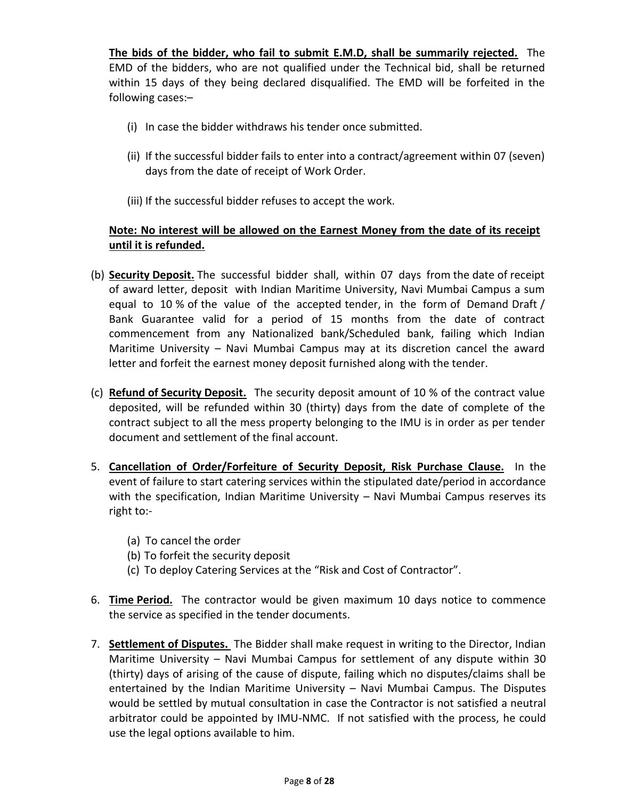**The bids of the bidder, who fail to submit E.M.D, shall be summarily rejected.** The EMD of the bidders, who are not qualified under the Technical bid, shall be returned within 15 days of they being declared disqualified. The EMD will be forfeited in the following cases:–

- (i) In case the bidder withdraws his tender once submitted.
- (ii) If the successful bidder fails to enter into a contract/agreement within 07 (seven) days from the date of receipt of Work Order.
- (iii) If the successful bidder refuses to accept the work.

## **Note: No interest will be allowed on the Earnest Money from the date of its receipt until it is refunded.**

- (b) **Security Deposit.** The successful bidder shall, within 07 days from the date of receipt of award letter, deposit with Indian Maritime University, Navi Mumbai Campus a sum equal to 10 % of the value of the accepted tender, in the form of Demand Draft / Bank Guarantee valid for a period of 15 months from the date of contract commencement from any Nationalized bank/Scheduled bank, failing which Indian Maritime University – Navi Mumbai Campus may at its discretion cancel the award letter and forfeit the earnest money deposit furnished along with the tender.
- (c) **Refund of Security Deposit.** The security deposit amount of 10 % of the contract value deposited, will be refunded within 30 (thirty) days from the date of complete of the contract subject to all the mess property belonging to the IMU is in order as per tender document and settlement of the final account.
- 5. **Cancellation of Order/Forfeiture of Security Deposit, Risk Purchase Clause.** In the event of failure to start catering services within the stipulated date/period in accordance with the specification, Indian Maritime University – Navi Mumbai Campus reserves its right to:-
	- (a) To cancel the order
	- (b) To forfeit the security deposit
	- (c) To deploy Catering Services at the "Risk and Cost of Contractor".
- 6. **Time Period.** The contractor would be given maximum 10 days notice to commence the service as specified in the tender documents.
- 7. **Settlement of Disputes.** The Bidder shall make request in writing to the Director, Indian Maritime University – Navi Mumbai Campus for settlement of any dispute within 30 (thirty) days of arising of the cause of dispute, failing which no disputes/claims shall be entertained by the Indian Maritime University – Navi Mumbai Campus. The Disputes would be settled by mutual consultation in case the Contractor is not satisfied a neutral arbitrator could be appointed by IMU-NMC. If not satisfied with the process, he could use the legal options available to him.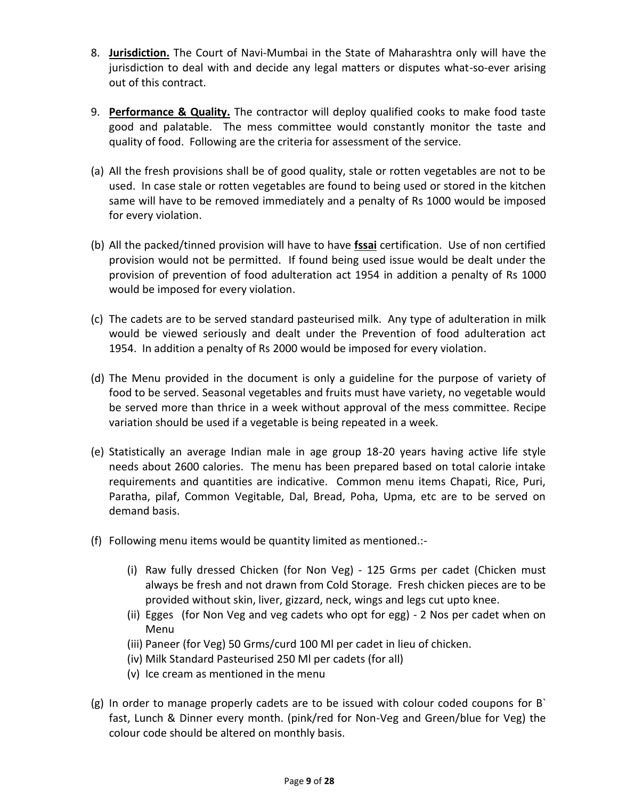- 8. **Jurisdiction.** The Court of Navi-Mumbai in the State of Maharashtra only will have the jurisdiction to deal with and decide any legal matters or disputes what-so-ever arising out of this contract.
- 9. **Performance & Quality.** The contractor will deploy qualified cooks to make food taste good and palatable. The mess committee would constantly monitor the taste and quality of food. Following are the criteria for assessment of the service.
- (a) All the fresh provisions shall be of good quality, stale or rotten vegetables are not to be used. In case stale or rotten vegetables are found to being used or stored in the kitchen same will have to be removed immediately and a penalty of Rs 1000 would be imposed for every violation.
- (b) All the packed/tinned provision will have to have **fssai** certification. Use of non certified provision would not be permitted. If found being used issue would be dealt under the provision of prevention of food adulteration act 1954 in addition a penalty of Rs 1000 would be imposed for every violation.
- (c) The cadets are to be served standard pasteurised milk. Any type of adulteration in milk would be viewed seriously and dealt under the Prevention of food adulteration act 1954. In addition a penalty of Rs 2000 would be imposed for every violation.
- (d) The Menu provided in the document is only a guideline for the purpose of variety of food to be served. Seasonal vegetables and fruits must have variety, no vegetable would be served more than thrice in a week without approval of the mess committee. Recipe variation should be used if a vegetable is being repeated in a week.
- (e) Statistically an average Indian male in age group 18-20 years having active life style needs about 2600 calories. The menu has been prepared based on total calorie intake requirements and quantities are indicative. Common menu items Chapati, Rice, Puri, Paratha, pilaf, Common Vegitable, Dal, Bread, Poha, Upma, etc are to be served on demand basis.
- (f) Following menu items would be quantity limited as mentioned.:-
	- (i) Raw fully dressed Chicken (for Non Veg) 125 Grms per cadet (Chicken must always be fresh and not drawn from Cold Storage. Fresh chicken pieces are to be provided without skin, liver, gizzard, neck, wings and legs cut upto knee.
	- (ii) Egges (for Non Veg and veg cadets who opt for egg) 2 Nos per cadet when on Menu
	- (iii) Paneer (for Veg) 50 Grms/curd 100 Ml per cadet in lieu of chicken.
	- (iv) Milk Standard Pasteurised 250 Ml per cadets (for all)
	- (v) Ice cream as mentioned in the menu
- (g) In order to manage properly cadets are to be issued with colour coded coupons for B` fast, Lunch & Dinner every month. (pink/red for Non-Veg and Green/blue for Veg) the colour code should be altered on monthly basis.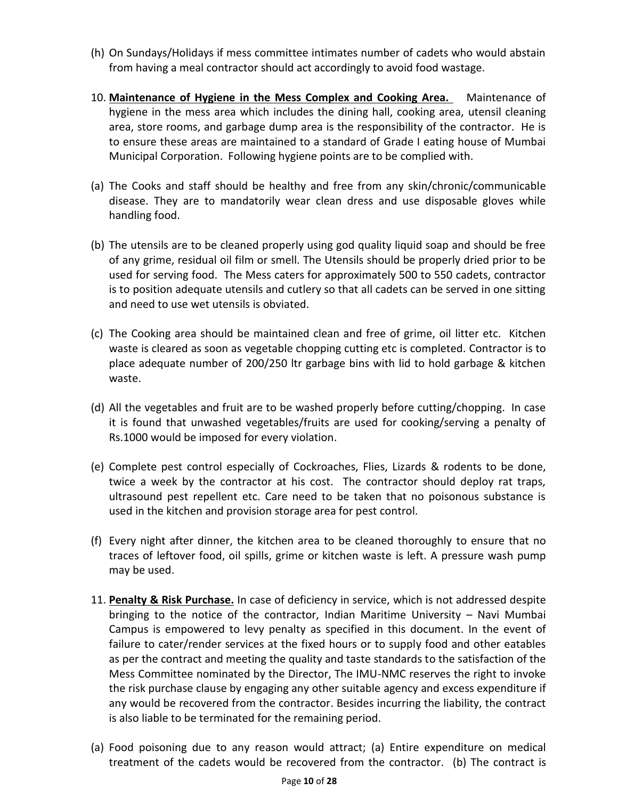- (h) On Sundays/Holidays if mess committee intimates number of cadets who would abstain from having a meal contractor should act accordingly to avoid food wastage.
- 10. **Maintenance of Hygiene in the Mess Complex and Cooking Area.** Maintenance of hygiene in the mess area which includes the dining hall, cooking area, utensil cleaning area, store rooms, and garbage dump area is the responsibility of the contractor. He is to ensure these areas are maintained to a standard of Grade I eating house of Mumbai Municipal Corporation. Following hygiene points are to be complied with.
- (a) The Cooks and staff should be healthy and free from any skin/chronic/communicable disease. They are to mandatorily wear clean dress and use disposable gloves while handling food.
- (b) The utensils are to be cleaned properly using god quality liquid soap and should be free of any grime, residual oil film or smell. The Utensils should be properly dried prior to be used for serving food. The Mess caters for approximately 500 to 550 cadets, contractor is to position adequate utensils and cutlery so that all cadets can be served in one sitting and need to use wet utensils is obviated.
- (c) The Cooking area should be maintained clean and free of grime, oil litter etc. Kitchen waste is cleared as soon as vegetable chopping cutting etc is completed. Contractor is to place adequate number of 200/250 ltr garbage bins with lid to hold garbage & kitchen waste.
- (d) All the vegetables and fruit are to be washed properly before cutting/chopping. In case it is found that unwashed vegetables/fruits are used for cooking/serving a penalty of Rs.1000 would be imposed for every violation.
- (e) Complete pest control especially of Cockroaches, Flies, Lizards & rodents to be done, twice a week by the contractor at his cost. The contractor should deploy rat traps, ultrasound pest repellent etc. Care need to be taken that no poisonous substance is used in the kitchen and provision storage area for pest control.
- (f) Every night after dinner, the kitchen area to be cleaned thoroughly to ensure that no traces of leftover food, oil spills, grime or kitchen waste is left. A pressure wash pump may be used.
- 11. **Penalty & Risk Purchase.** In case of deficiency in service, which is not addressed despite bringing to the notice of the contractor, Indian Maritime University – Navi Mumbai Campus is empowered to levy penalty as specified in this document. In the event of failure to cater/render services at the fixed hours or to supply food and other eatables as per the contract and meeting the quality and taste standards to the satisfaction of the Mess Committee nominated by the Director, The IMU-NMC reserves the right to invoke the risk purchase clause by engaging any other suitable agency and excess expenditure if any would be recovered from the contractor. Besides incurring the liability, the contract is also liable to be terminated for the remaining period.
- (a) Food poisoning due to any reason would attract; (a) Entire expenditure on medical treatment of the cadets would be recovered from the contractor. (b) The contract is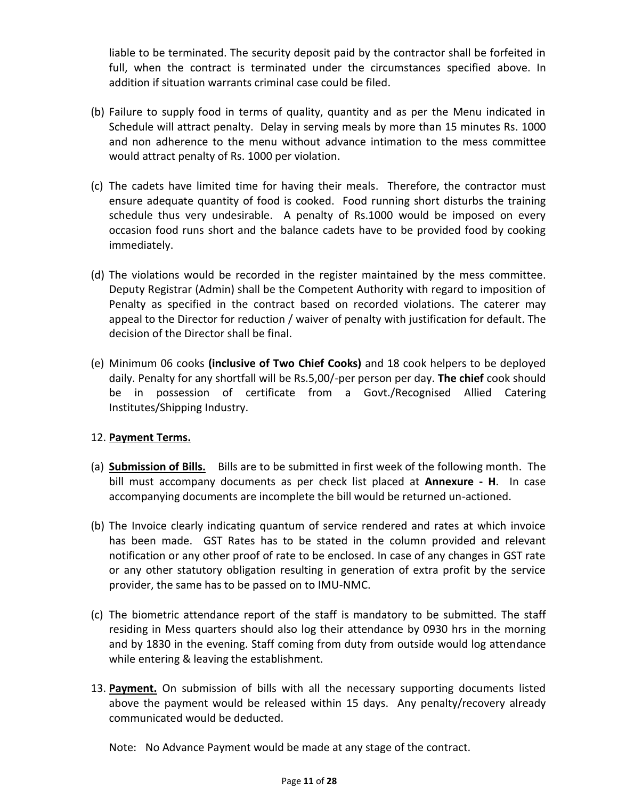liable to be terminated. The security deposit paid by the contractor shall be forfeited in full, when the contract is terminated under the circumstances specified above. In addition if situation warrants criminal case could be filed.

- (b) Failure to supply food in terms of quality, quantity and as per the Menu indicated in Schedule will attract penalty. Delay in serving meals by more than 15 minutes Rs. 1000 and non adherence to the menu without advance intimation to the mess committee would attract penalty of Rs. 1000 per violation.
- (c) The cadets have limited time for having their meals. Therefore, the contractor must ensure adequate quantity of food is cooked. Food running short disturbs the training schedule thus very undesirable. A penalty of Rs.1000 would be imposed on every occasion food runs short and the balance cadets have to be provided food by cooking immediately.
- (d) The violations would be recorded in the register maintained by the mess committee. Deputy Registrar (Admin) shall be the Competent Authority with regard to imposition of Penalty as specified in the contract based on recorded violations. The caterer may appeal to the Director for reduction / waiver of penalty with justification for default. The decision of the Director shall be final.
- (e) Minimum 06 cooks **(inclusive of Two Chief Cooks)** and 18 cook helpers to be deployed daily. Penalty for any shortfall will be Rs.5,00/-per person per day. **The chief** cook should be in possession of certificate from a Govt./Recognised Allied Catering Institutes/Shipping Industry.

## 12. **Payment Terms.**

- (a) **Submission of Bills.** Bills are to be submitted in first week of the following month. The bill must accompany documents as per check list placed at **Annexure - H**. In case accompanying documents are incomplete the bill would be returned un-actioned.
- (b) The Invoice clearly indicating quantum of service rendered and rates at which invoice has been made. GST Rates has to be stated in the column provided and relevant notification or any other proof of rate to be enclosed. In case of any changes in GST rate or any other statutory obligation resulting in generation of extra profit by the service provider, the same has to be passed on to IMU-NMC.
- (c) The biometric attendance report of the staff is mandatory to be submitted. The staff residing in Mess quarters should also log their attendance by 0930 hrs in the morning and by 1830 in the evening. Staff coming from duty from outside would log attendance while entering & leaving the establishment.
- 13. **Payment.** On submission of bills with all the necessary supporting documents listed above the payment would be released within 15 days. Any penalty/recovery already communicated would be deducted.

Note: No Advance Payment would be made at any stage of the contract.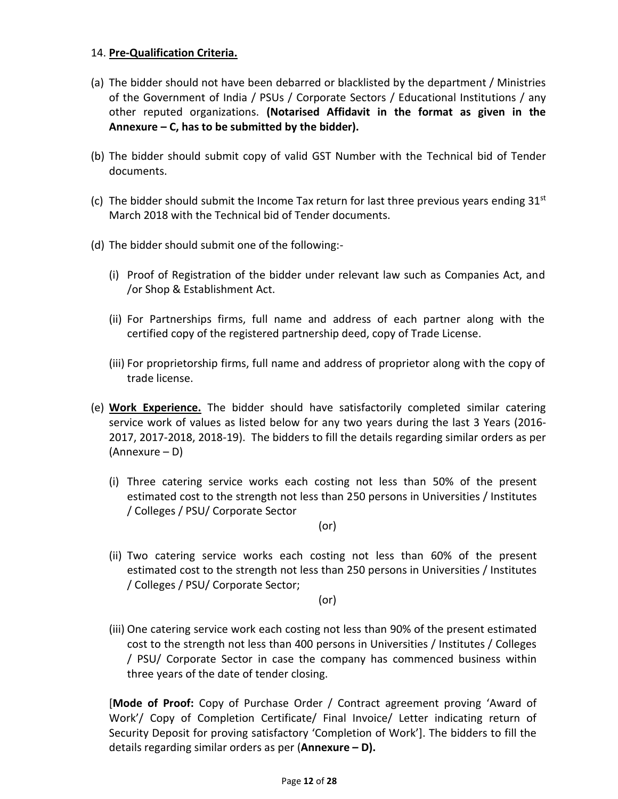### 14. **Pre-Qualification Criteria.**

- (a) The bidder should not have been debarred or blacklisted by the department / Ministries of the Government of India / PSUs / Corporate Sectors / Educational Institutions / any other reputed organizations. **(Notarised Affidavit in the format as given in the Annexure – C, has to be submitted by the bidder).**
- (b) The bidder should submit copy of valid GST Number with the Technical bid of Tender documents.
- (c) The bidder should submit the Income Tax return for last three previous years ending  $31^{st}$ March 2018 with the Technical bid of Tender documents.
- (d) The bidder should submit one of the following:-
	- (i) Proof of Registration of the bidder under relevant law such as Companies Act, and /or Shop & Establishment Act.
	- (ii) For Partnerships firms, full name and address of each partner along with the certified copy of the registered partnership deed, copy of Trade License.
	- (iii) For proprietorship firms, full name and address of proprietor along with the copy of trade license.
- (e) **Work Experience.** The bidder should have satisfactorily completed similar catering service work of values as listed below for any two years during the last 3 Years (2016- 2017, 2017-2018, 2018-19). The bidders to fill the details regarding similar orders as per (Annexure – D)
	- (i) Three catering service works each costing not less than 50% of the present estimated cost to the strength not less than 250 persons in Universities / Institutes / Colleges / PSU/ Corporate Sector

(or)

(ii) Two catering service works each costing not less than 60% of the present estimated cost to the strength not less than 250 persons in Universities / Institutes / Colleges / PSU/ Corporate Sector;

(or)

(iii) One catering service work each costing not less than 90% of the present estimated cost to the strength not less than 400 persons in Universities / Institutes / Colleges / PSU/ Corporate Sector in case the company has commenced business within three years of the date of tender closing.

[**Mode of Proof:** Copy of Purchase Order / Contract agreement proving 'Award of Work'/ Copy of Completion Certificate/ Final Invoice/ Letter indicating return of Security Deposit for proving satisfactory 'Completion of Work']. The bidders to fill the details regarding similar orders as per (**Annexure – D).**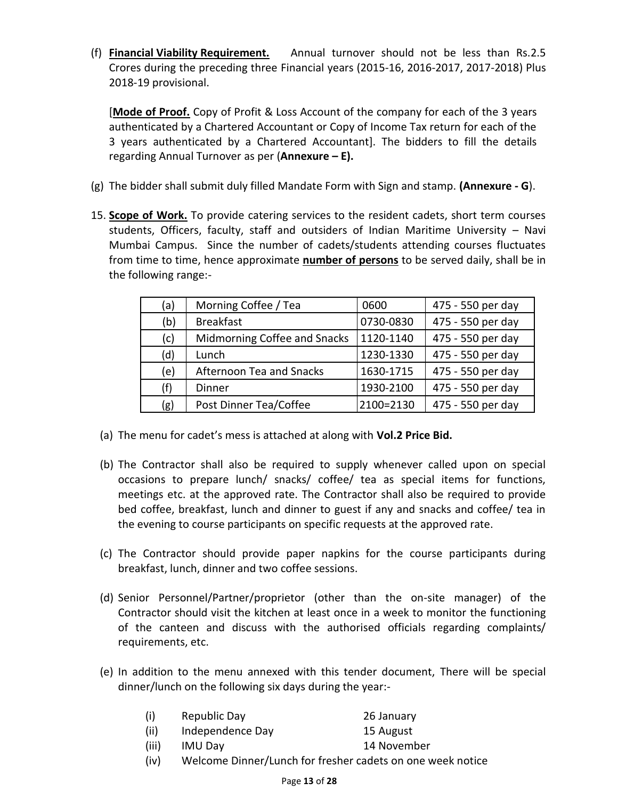(f) **Financial Viability Requirement.** Annual turnover should not be less than Rs.2.5 Crores during the preceding three Financial years (2015-16, 2016-2017, 2017-2018) Plus 2018-19 provisional.

[**Mode of Proof.** Copy of Profit & Loss Account of the company for each of the 3 years authenticated by a Chartered Accountant or Copy of Income Tax return for each of the 3 years authenticated by a Chartered Accountant]. The bidders to fill the details regarding Annual Turnover as per (**Annexure – E).**

- (g) The bidder shall submit duly filled Mandate Form with Sign and stamp. **(Annexure - G**).
- 15. **Scope of Work.** To provide catering services to the resident cadets, short term courses students, Officers, faculty, staff and outsiders of Indian Maritime University – Navi Mumbai Campus. Since the number of cadets/students attending courses fluctuates from time to time, hence approximate **number of persons** to be served daily, shall be in the following range:-

| (a) | Morning Coffee / Tea         | 0600      | 475 - 550 per day |
|-----|------------------------------|-----------|-------------------|
| (b) | <b>Breakfast</b>             | 0730-0830 | 475 - 550 per day |
| (c) | Midmorning Coffee and Snacks | 1120-1140 | 475 - 550 per day |
| (d) | Lunch                        | 1230-1330 | 475 - 550 per day |
| (e) | Afternoon Tea and Snacks     | 1630-1715 | 475 - 550 per day |
| (f) | Dinner                       | 1930-2100 | 475 - 550 per day |
| (g) | Post Dinner Tea/Coffee       | 2100=2130 | 475 - 550 per day |

- (a) The menu for cadet's mess is attached at along with **Vol.2 Price Bid.**
- (b) The Contractor shall also be required to supply whenever called upon on special occasions to prepare lunch/ snacks/ coffee/ tea as special items for functions, meetings etc. at the approved rate. The Contractor shall also be required to provide bed coffee, breakfast, lunch and dinner to guest if any and snacks and coffee/ tea in the evening to course participants on specific requests at the approved rate.
- (c) The Contractor should provide paper napkins for the course participants during breakfast, lunch, dinner and two coffee sessions.
- (d) Senior Personnel/Partner/proprietor (other than the on-site manager) of the Contractor should visit the kitchen at least once in a week to monitor the functioning of the canteen and discuss with the authorised officials regarding complaints/ requirements, etc.
- (e) In addition to the menu annexed with this tender document, There will be special dinner/lunch on the following six days during the year:-

| (i) | Republic Day | 26 January |
|-----|--------------|------------|
|     |              |            |

- (ii) Independence Day 15 August
- (iii) IMU Day 14 November
- (iv) Welcome Dinner/Lunch for fresher cadets on one week notice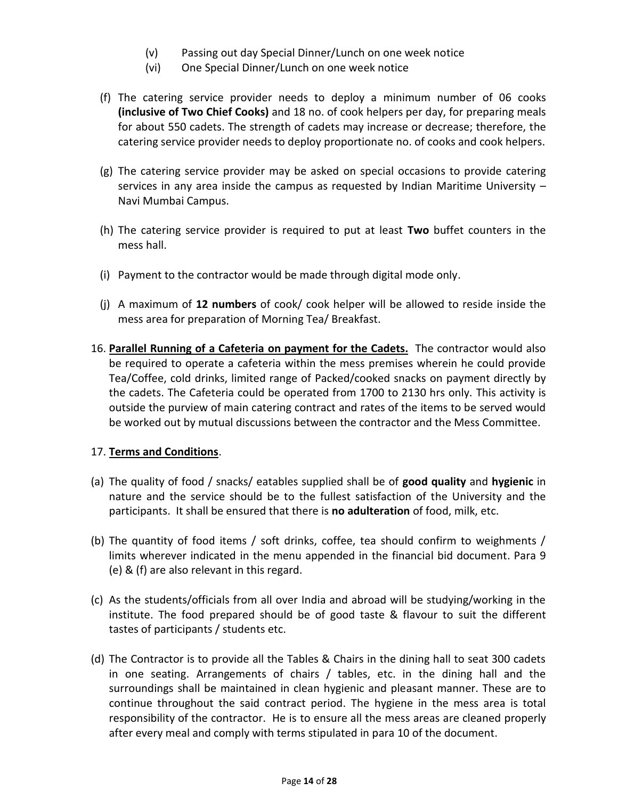- (v) Passing out day Special Dinner/Lunch on one week notice
- (vi) One Special Dinner/Lunch on one week notice
- (f) The catering service provider needs to deploy a minimum number of 06 cooks **(inclusive of Two Chief Cooks)** and 18 no. of cook helpers per day, for preparing meals for about 550 cadets. The strength of cadets may increase or decrease; therefore, the catering service provider needs to deploy proportionate no. of cooks and cook helpers.
- (g) The catering service provider may be asked on special occasions to provide catering services in any area inside the campus as requested by Indian Maritime University – Navi Mumbai Campus.
- (h) The catering service provider is required to put at least **Two** buffet counters in the mess hall.
- (i) Payment to the contractor would be made through digital mode only.
- (j) A maximum of **12 numbers** of cook/ cook helper will be allowed to reside inside the mess area for preparation of Morning Tea/ Breakfast.
- 16. **Parallel Running of a Cafeteria on payment for the Cadets.** The contractor would also be required to operate a cafeteria within the mess premises wherein he could provide Tea/Coffee, cold drinks, limited range of Packed/cooked snacks on payment directly by the cadets. The Cafeteria could be operated from 1700 to 2130 hrs only. This activity is outside the purview of main catering contract and rates of the items to be served would be worked out by mutual discussions between the contractor and the Mess Committee.

## 17. **Terms and Conditions**.

- (a) The quality of food / snacks/ eatables supplied shall be of **good quality** and **hygienic** in nature and the service should be to the fullest satisfaction of the University and the participants. It shall be ensured that there is **no adulteration** of food, milk, etc.
- (b) The quantity of food items / soft drinks, coffee, tea should confirm to weighments / limits wherever indicated in the menu appended in the financial bid document. Para 9 (e) & (f) are also relevant in this regard.
- (c) As the students/officials from all over India and abroad will be studying/working in the institute. The food prepared should be of good taste & flavour to suit the different tastes of participants / students etc.
- (d) The Contractor is to provide all the Tables & Chairs in the dining hall to seat 300 cadets in one seating. Arrangements of chairs / tables, etc. in the dining hall and the surroundings shall be maintained in clean hygienic and pleasant manner. These are to continue throughout the said contract period. The hygiene in the mess area is total responsibility of the contractor. He is to ensure all the mess areas are cleaned properly after every meal and comply with terms stipulated in para 10 of the document.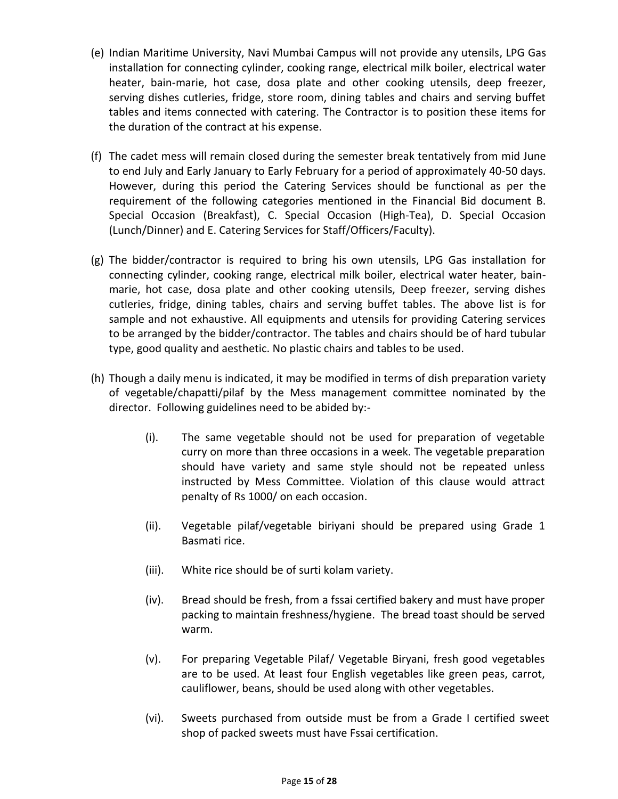- (e) Indian Maritime University, Navi Mumbai Campus will not provide any utensils, LPG Gas installation for connecting cylinder, cooking range, electrical milk boiler, electrical water heater, bain-marie, hot case, dosa plate and other cooking utensils, deep freezer, serving dishes cutleries, fridge, store room, dining tables and chairs and serving buffet tables and items connected with catering. The Contractor is to position these items for the duration of the contract at his expense.
- (f) The cadet mess will remain closed during the semester break tentatively from mid June to end July and Early January to Early February for a period of approximately 40-50 days. However, during this period the Catering Services should be functional as per the requirement of the following categories mentioned in the Financial Bid document B. Special Occasion (Breakfast), C. Special Occasion (High-Tea), D. Special Occasion (Lunch/Dinner) and E. Catering Services for Staff/Officers/Faculty).
- (g) The bidder/contractor is required to bring his own utensils, LPG Gas installation for connecting cylinder, cooking range, electrical milk boiler, electrical water heater, bainmarie, hot case, dosa plate and other cooking utensils, Deep freezer, serving dishes cutleries, fridge, dining tables, chairs and serving buffet tables. The above list is for sample and not exhaustive. All equipments and utensils for providing Catering services to be arranged by the bidder/contractor. The tables and chairs should be of hard tubular type, good quality and aesthetic. No plastic chairs and tables to be used.
- (h) Though a daily menu is indicated, it may be modified in terms of dish preparation variety of vegetable/chapatti/pilaf by the Mess management committee nominated by the director. Following guidelines need to be abided by:-
	- (i). The same vegetable should not be used for preparation of vegetable curry on more than three occasions in a week. The vegetable preparation should have variety and same style should not be repeated unless instructed by Mess Committee. Violation of this clause would attract penalty of Rs 1000/ on each occasion.
	- (ii). Vegetable pilaf/vegetable biriyani should be prepared using Grade 1 Basmati rice.
	- (iii). White rice should be of surti kolam variety.
	- (iv). Bread should be fresh, from a fssai certified bakery and must have proper packing to maintain freshness/hygiene. The bread toast should be served warm.
	- (v). For preparing Vegetable Pilaf/ Vegetable Biryani, fresh good vegetables are to be used. At least four English vegetables like green peas, carrot, cauliflower, beans, should be used along with other vegetables.
	- (vi). Sweets purchased from outside must be from a Grade I certified sweet shop of packed sweets must have Fssai certification.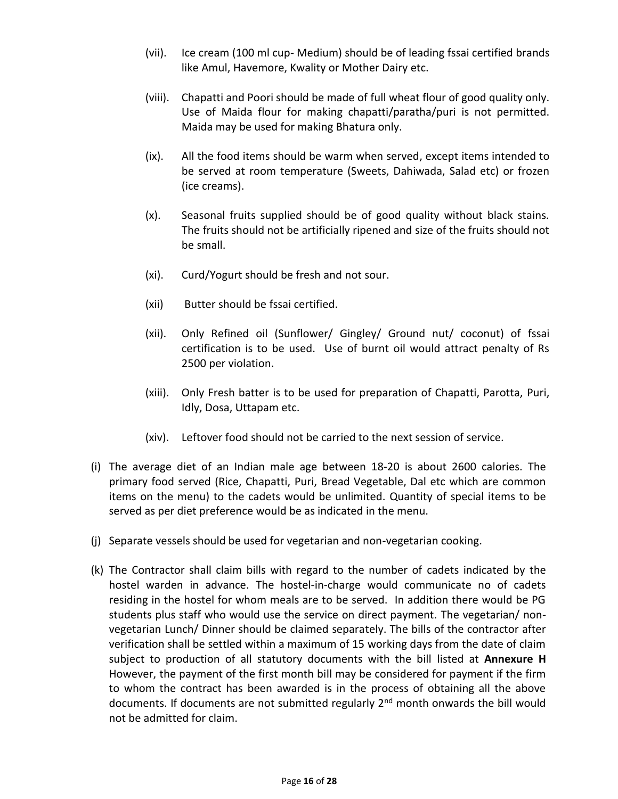- (vii). Ice cream (100 ml cup- Medium) should be of leading fssai certified brands like Amul, Havemore, Kwality or Mother Dairy etc.
- (viii). Chapatti and Poori should be made of full wheat flour of good quality only. Use of Maida flour for making chapatti/paratha/puri is not permitted. Maida may be used for making Bhatura only.
- (ix). All the food items should be warm when served, except items intended to be served at room temperature (Sweets, Dahiwada, Salad etc) or frozen (ice creams).
- (x). Seasonal fruits supplied should be of good quality without black stains. The fruits should not be artificially ripened and size of the fruits should not be small.
- (xi). Curd/Yogurt should be fresh and not sour.
- (xii) Butter should be fssai certified.
- (xii). Only Refined oil (Sunflower/ Gingley/ Ground nut/ coconut) of fssai certification is to be used. Use of burnt oil would attract penalty of Rs 2500 per violation.
- (xiii). Only Fresh batter is to be used for preparation of Chapatti, Parotta, Puri, Idly, Dosa, Uttapam etc.
- (xiv). Leftover food should not be carried to the next session of service.
- (i) The average diet of an Indian male age between 18-20 is about 2600 calories. The primary food served (Rice, Chapatti, Puri, Bread Vegetable, Dal etc which are common items on the menu) to the cadets would be unlimited. Quantity of special items to be served as per diet preference would be as indicated in the menu.
- (j) Separate vessels should be used for vegetarian and non-vegetarian cooking.
- (k) The Contractor shall claim bills with regard to the number of cadets indicated by the hostel warden in advance. The hostel-in-charge would communicate no of cadets residing in the hostel for whom meals are to be served. In addition there would be PG students plus staff who would use the service on direct payment. The vegetarian/ nonvegetarian Lunch/ Dinner should be claimed separately. The bills of the contractor after verification shall be settled within a maximum of 15 working days from the date of claim subject to production of all statutory documents with the bill listed at **Annexure H** However, the payment of the first month bill may be considered for payment if the firm to whom the contract has been awarded is in the process of obtaining all the above documents. If documents are not submitted regularly 2<sup>nd</sup> month onwards the bill would not be admitted for claim.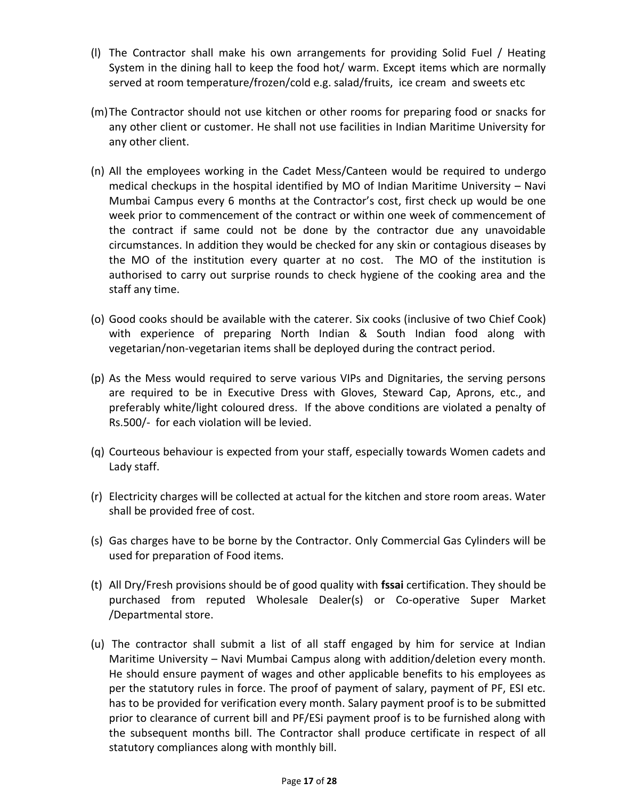- (l) The Contractor shall make his own arrangements for providing Solid Fuel / Heating System in the dining hall to keep the food hot/ warm. Except items which are normally served at room temperature/frozen/cold e.g. salad/fruits, ice cream and sweets etc
- (m)The Contractor should not use kitchen or other rooms for preparing food or snacks for any other client or customer. He shall not use facilities in Indian Maritime University for any other client.
- (n) All the employees working in the Cadet Mess/Canteen would be required to undergo medical checkups in the hospital identified by MO of Indian Maritime University – Navi Mumbai Campus every 6 months at the Contractor's cost, first check up would be one week prior to commencement of the contract or within one week of commencement of the contract if same could not be done by the contractor due any unavoidable circumstances. In addition they would be checked for any skin or contagious diseases by the MO of the institution every quarter at no cost. The MO of the institution is authorised to carry out surprise rounds to check hygiene of the cooking area and the staff any time.
- (o) Good cooks should be available with the caterer. Six cooks (inclusive of two Chief Cook) with experience of preparing North Indian & South Indian food along with vegetarian/non-vegetarian items shall be deployed during the contract period.
- (p) As the Mess would required to serve various VIPs and Dignitaries, the serving persons are required to be in Executive Dress with Gloves, Steward Cap, Aprons, etc., and preferably white/light coloured dress. If the above conditions are violated a penalty of Rs.500/- for each violation will be levied.
- (q) Courteous behaviour is expected from your staff, especially towards Women cadets and Lady staff.
- (r) Electricity charges will be collected at actual for the kitchen and store room areas. Water shall be provided free of cost.
- (s) Gas charges have to be borne by the Contractor. Only Commercial Gas Cylinders will be used for preparation of Food items.
- (t) All Dry/Fresh provisions should be of good quality with **fssai** certification. They should be purchased from reputed Wholesale Dealer(s) or Co-operative Super Market /Departmental store.
- (u) The contractor shall submit a list of all staff engaged by him for service at Indian Maritime University – Navi Mumbai Campus along with addition/deletion every month. He should ensure payment of wages and other applicable benefits to his employees as per the statutory rules in force. The proof of payment of salary, payment of PF, ESI etc. has to be provided for verification every month. Salary payment proof is to be submitted prior to clearance of current bill and PF/ESi payment proof is to be furnished along with the subsequent months bill. The Contractor shall produce certificate in respect of all statutory compliances along with monthly bill.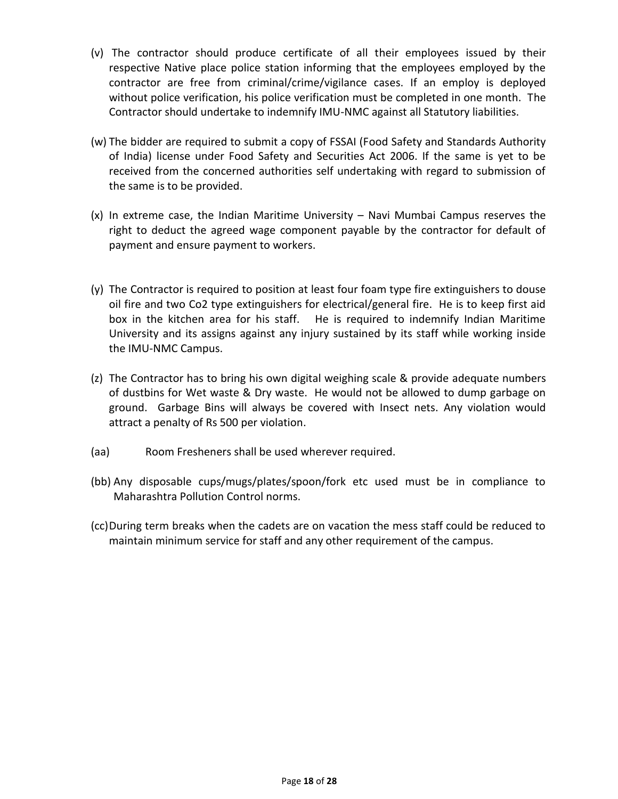- (v) The contractor should produce certificate of all their employees issued by their respective Native place police station informing that the employees employed by the contractor are free from criminal/crime/vigilance cases. If an employ is deployed without police verification, his police verification must be completed in one month. The Contractor should undertake to indemnify IMU-NMC against all Statutory liabilities.
- (w) The bidder are required to submit a copy of FSSAI (Food Safety and Standards Authority of India) license under Food Safety and Securities Act 2006. If the same is yet to be received from the concerned authorities self undertaking with regard to submission of the same is to be provided.
- (x) In extreme case, the Indian Maritime University Navi Mumbai Campus reserves the right to deduct the agreed wage component payable by the contractor for default of payment and ensure payment to workers.
- (y) The Contractor is required to position at least four foam type fire extinguishers to douse oil fire and two Co2 type extinguishers for electrical/general fire. He is to keep first aid box in the kitchen area for his staff. He is required to indemnify Indian Maritime University and its assigns against any injury sustained by its staff while working inside the IMU-NMC Campus.
- (z) The Contractor has to bring his own digital weighing scale & provide adequate numbers of dustbins for Wet waste & Dry waste. He would not be allowed to dump garbage on ground. Garbage Bins will always be covered with Insect nets. Any violation would attract a penalty of Rs 500 per violation.
- (aa) Room Fresheners shall be used wherever required.
- (bb) Any disposable cups/mugs/plates/spoon/fork etc used must be in compliance to Maharashtra Pollution Control norms.
- (cc)During term breaks when the cadets are on vacation the mess staff could be reduced to maintain minimum service for staff and any other requirement of the campus.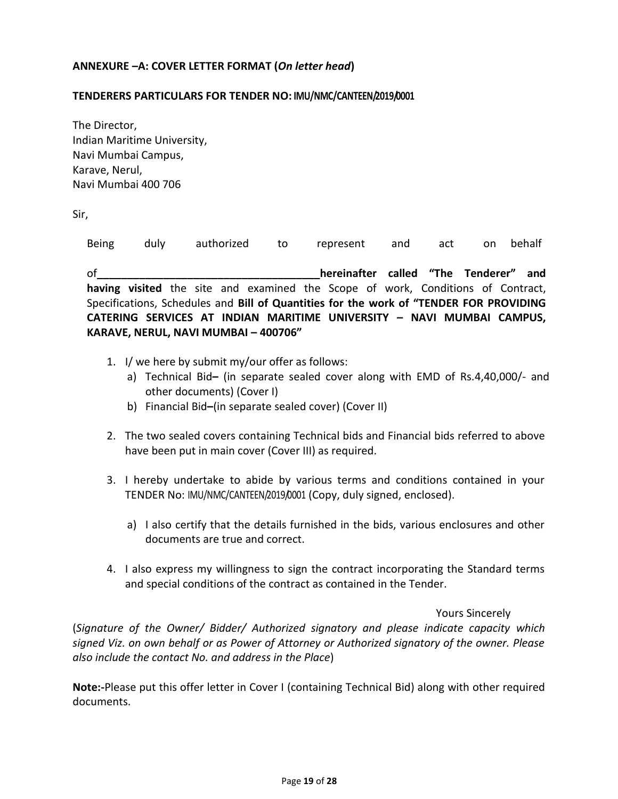### **ANNEXURE –A: COVER LETTER FORMAT (***On letter head***)**

#### **TENDERERS PARTICULARS FOR TENDER NO: IMU/NMC/CANTEEN/2019/0001**

The Director, Indian Maritime University, Navi Mumbai Campus, Karave, Nerul, Navi Mumbai 400 706

Sir,

Being duly authorized to represent and act on behalf of**\_\_\_\_\_\_\_\_\_\_\_\_\_\_\_\_\_\_\_\_\_\_\_\_\_\_\_\_\_\_\_\_\_\_\_\_\_hereinafter called "The Tenderer" and having visited** the site and examined the Scope of work, Conditions of Contract, Specifications, Schedules and **Bill of Quantities for the work of "TENDER FOR PROVIDING CATERING SERVICES AT INDIAN MARITIME UNIVERSITY – NAVI MUMBAI CAMPUS, KARAVE, NERUL, NAVI MUMBAI – 400706"**

- 1. I/ we here by submit my/our offer as follows:
	- a) Technical Bid**–** (in separate sealed cover along with EMD of Rs.4,40,000/- and other documents) (Cover I)
	- b) Financial Bid**–**(in separate sealed cover) (Cover II)
- 2. The two sealed covers containing Technical bids and Financial bids referred to above have been put in main cover (Cover III) as required.
- 3. I hereby undertake to abide by various terms and conditions contained in your TENDER No: IMU/NMC/CANTEEN/2019/0001 (Copy, duly signed, enclosed).
	- a) I also certify that the details furnished in the bids, various enclosures and other documents are true and correct.
- 4. I also express my willingness to sign the contract incorporating the Standard terms and special conditions of the contract as contained in the Tender.

#### Yours Sincerely

(*Signature of the Owner/ Bidder/ Authorized signatory and please indicate capacity which signed Viz. on own behalf or as Power of Attorney or Authorized signatory of the owner. Please also include the contact No. and address in the Place*)

**Note:-**Please put this offer letter in Cover I (containing Technical Bid) along with other required documents.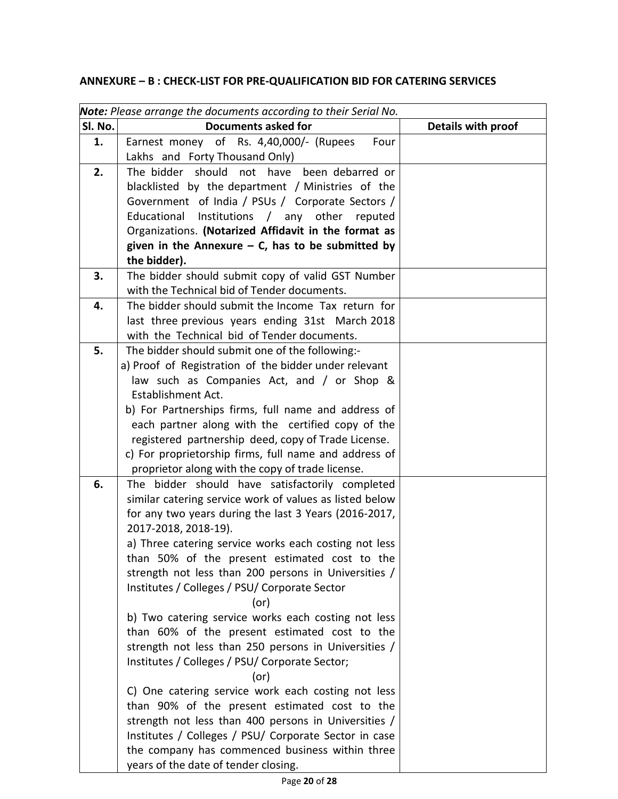## **ANNEXURE – B : CHECK-LIST FOR PRE-QUALIFICATION BID FOR CATERING SERVICES**

|         | <b>Note:</b> Please arrange the documents according to their Serial No.       |                    |
|---------|-------------------------------------------------------------------------------|--------------------|
| Sl. No. | <b>Documents asked for</b>                                                    | Details with proof |
| 1.      | Earnest money of Rs. 4,40,000/- (Rupees<br>Four                               |                    |
|         | Lakhs and Forty Thousand Only)                                                |                    |
| 2.      | The bidder should<br>not have been debarred or                                |                    |
|         | blacklisted by the department / Ministries of the                             |                    |
|         | Government of India / PSUs / Corporate Sectors /                              |                    |
|         | Educational Institutions / any other reputed                                  |                    |
|         | Organizations. (Notarized Affidavit in the format as                          |                    |
|         | given in the Annexure $-$ C, has to be submitted by<br>the bidder).           |                    |
| 3.      | The bidder should submit copy of valid GST Number                             |                    |
|         | with the Technical bid of Tender documents.                                   |                    |
| 4.      | The bidder should submit the Income Tax return for                            |                    |
|         | last three previous years ending 31st March 2018                              |                    |
|         | with the Technical bid of Tender documents.                                   |                    |
| 5.      | The bidder should submit one of the following:-                               |                    |
|         | a) Proof of Registration of the bidder under relevant                         |                    |
|         | law such as Companies Act, and / or Shop &                                    |                    |
|         | <b>Establishment Act.</b>                                                     |                    |
|         | b) For Partnerships firms, full name and address of                           |                    |
|         | each partner along with the certified copy of the                             |                    |
|         | registered partnership deed, copy of Trade License.                           |                    |
|         | c) For proprietorship firms, full name and address of                         |                    |
|         | proprietor along with the copy of trade license.                              |                    |
| 6.      | The bidder should have satisfactorily completed                               |                    |
|         | similar catering service work of values as listed below                       |                    |
|         | for any two years during the last 3 Years (2016-2017,<br>2017-2018, 2018-19). |                    |
|         | a) Three catering service works each costing not less                         |                    |
|         | than 50% of the present estimated cost to the                                 |                    |
|         | strength not less than 200 persons in Universities /                          |                    |
|         | Institutes / Colleges / PSU/ Corporate Sector                                 |                    |
|         | $($ or $)$                                                                    |                    |
|         | b) Two catering service works each costing not less                           |                    |
|         | than 60% of the present estimated cost to the                                 |                    |
|         | strength not less than 250 persons in Universities /                          |                    |
|         | Institutes / Colleges / PSU/ Corporate Sector;                                |                    |
|         | (or)                                                                          |                    |
|         | C) One catering service work each costing not less                            |                    |
|         | than 90% of the present estimated cost to the                                 |                    |
|         | strength not less than 400 persons in Universities /                          |                    |
|         | Institutes / Colleges / PSU/ Corporate Sector in case                         |                    |
|         | the company has commenced business within three                               |                    |
|         | years of the date of tender closing.                                          |                    |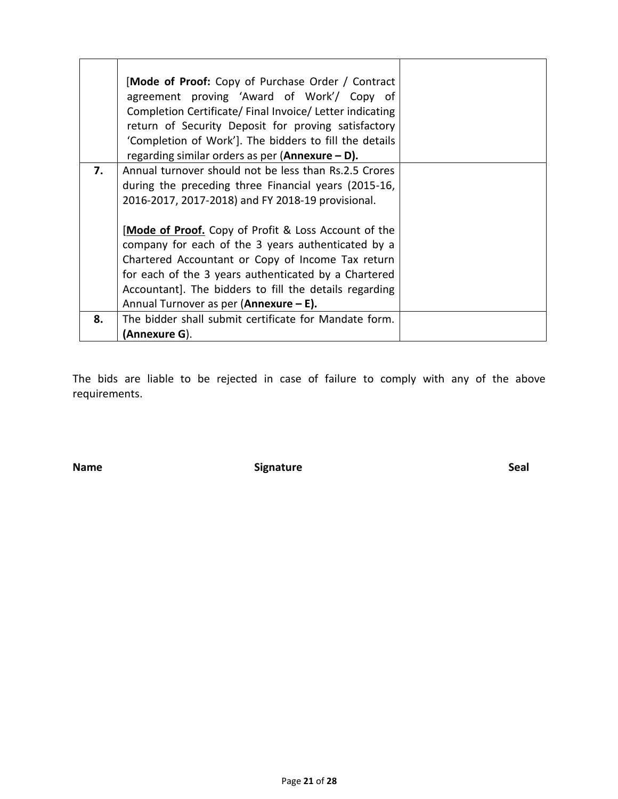|    | [Mode of Proof: Copy of Purchase Order / Contract<br>agreement proving 'Award of Work'/ Copy of<br>Completion Certificate/ Final Invoice/ Letter indicating<br>return of Security Deposit for proving satisfactory<br>'Completion of Work']. The bidders to fill the details<br>regarding similar orders as per (Annexure $- D$ ). |  |
|----|------------------------------------------------------------------------------------------------------------------------------------------------------------------------------------------------------------------------------------------------------------------------------------------------------------------------------------|--|
| 7. | Annual turnover should not be less than Rs.2.5 Crores<br>during the preceding three Financial years (2015-16,                                                                                                                                                                                                                      |  |
|    | 2016-2017, 2017-2018) and FY 2018-19 provisional.                                                                                                                                                                                                                                                                                  |  |
|    | [Mode of Proof. Copy of Profit & Loss Account of the                                                                                                                                                                                                                                                                               |  |
|    | company for each of the 3 years authenticated by a<br>Chartered Accountant or Copy of Income Tax return                                                                                                                                                                                                                            |  |
|    | for each of the 3 years authenticated by a Chartered                                                                                                                                                                                                                                                                               |  |
|    | Accountant]. The bidders to fill the details regarding                                                                                                                                                                                                                                                                             |  |
|    | Annual Turnover as per (Annexure - E).                                                                                                                                                                                                                                                                                             |  |
| 8. | The bidder shall submit certificate for Mandate form.                                                                                                                                                                                                                                                                              |  |
|    | (Annexure G).                                                                                                                                                                                                                                                                                                                      |  |

The bids are liable to be rejected in case of failure to comply with any of the above requirements.

**Name Signature Signature Seal**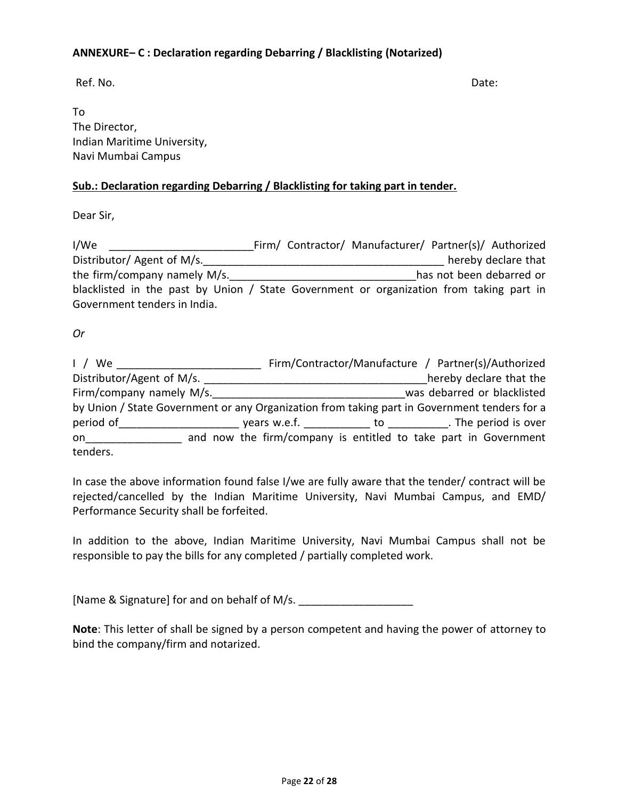### **ANNEXURE– C : Declaration regarding Debarring / Blacklisting (Notarized)**

Ref. No. Date:

To The Director, Indian Maritime University, Navi Mumbai Campus

### **Sub.: Declaration regarding Debarring / Blacklisting for taking part in tender.**

Dear Sir,

| I/We                                                                                    | Firm/ Contractor/ Manufacturer/ Partner(s)/ Authorized |  |                          |                     |
|-----------------------------------------------------------------------------------------|--------------------------------------------------------|--|--------------------------|---------------------|
| Distributor/ Agent of M/s.                                                              |                                                        |  |                          | hereby declare that |
| the firm/company namely M/s.                                                            |                                                        |  | has not been debarred or |                     |
| blacklisted in the past by Union / State Government or organization from taking part in |                                                        |  |                          |                     |
| Government tenders in India.                                                            |                                                        |  |                          |                     |

### *Or*

| 1 / We                                                                                       | Firm/Contractor/Manufacture / Partner(s)/Authorized             |  |                             |
|----------------------------------------------------------------------------------------------|-----------------------------------------------------------------|--|-----------------------------|
| Distributor/Agent of M/s.                                                                    |                                                                 |  | hereby declare that the     |
| Firm/company namely M/s.                                                                     |                                                                 |  | was debarred or blacklisted |
| by Union / State Government or any Organization from taking part in Government tenders for a |                                                                 |  |                             |
| period of                                                                                    | years w.e.f. ______________ to ____________. The period is over |  |                             |
| on a                                                                                         | and now the firm/company is entitled to take part in Government |  |                             |
| tenders.                                                                                     |                                                                 |  |                             |

In case the above information found false I/we are fully aware that the tender/ contract will be rejected/cancelled by the Indian Maritime University, Navi Mumbai Campus, and EMD/ Performance Security shall be forfeited.

In addition to the above, Indian Maritime University, Navi Mumbai Campus shall not be responsible to pay the bills for any completed / partially completed work.

[Name & Signature] for and on behalf of M/s.

**Note**: This letter of shall be signed by a person competent and having the power of attorney to bind the company/firm and notarized.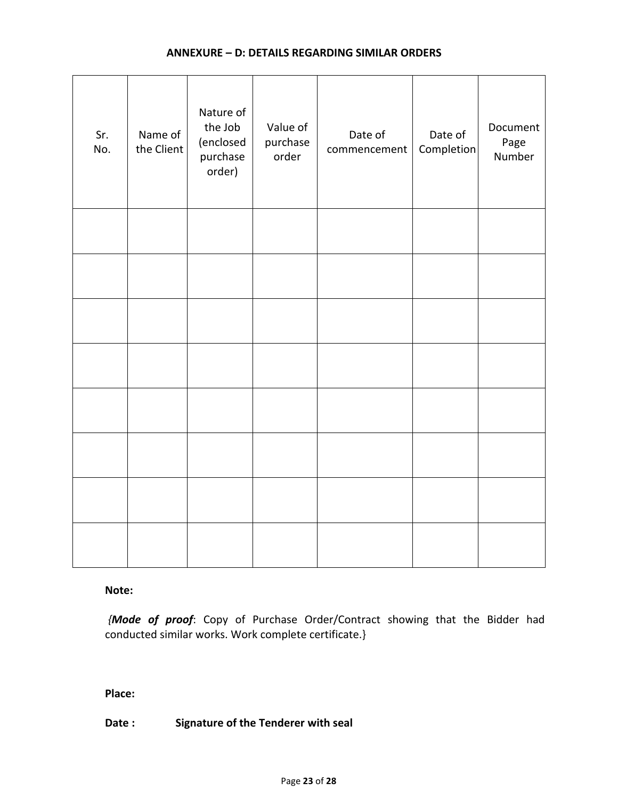### **ANNEXURE – D: DETAILS REGARDING SIMILAR ORDERS**

| Sr.<br>No. | Name of<br>the Client | Nature of<br>the Job<br>(enclosed<br>purchase<br>order) | Value of<br>purchase<br>order | Date of<br>commencement | Date of<br>Completion | Document<br>Page<br>Number |
|------------|-----------------------|---------------------------------------------------------|-------------------------------|-------------------------|-----------------------|----------------------------|
|            |                       |                                                         |                               |                         |                       |                            |
|            |                       |                                                         |                               |                         |                       |                            |
|            |                       |                                                         |                               |                         |                       |                            |
|            |                       |                                                         |                               |                         |                       |                            |
|            |                       |                                                         |                               |                         |                       |                            |
|            |                       |                                                         |                               |                         |                       |                            |
|            |                       |                                                         |                               |                         |                       |                            |
|            |                       |                                                         |                               |                         |                       |                            |

**Note:**

*{Mode of proof*: Copy of Purchase Order/Contract showing that the Bidder had conducted similar works. Work complete certificate.}

**Place:**

**Date : Signature of the Tenderer with seal**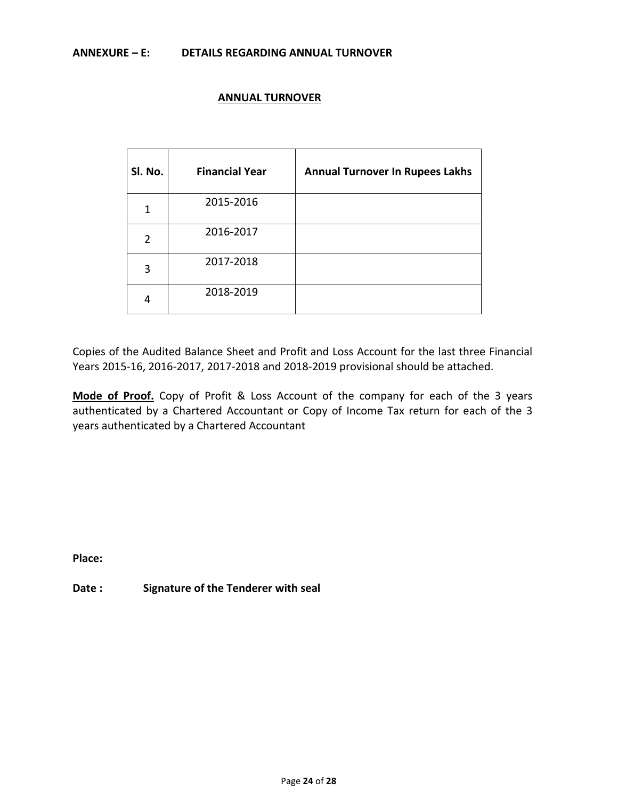### **ANNEXURE – E: DETAILS REGARDING ANNUAL TURNOVER**

### **ANNUAL TURNOVER**

| Sl. No. | <b>Financial Year</b> | <b>Annual Turnover In Rupees Lakhs</b> |
|---------|-----------------------|----------------------------------------|
| 1       | 2015-2016             |                                        |
| 2       | 2016-2017             |                                        |
| 3       | 2017-2018             |                                        |
|         | 2018-2019             |                                        |

Copies of the Audited Balance Sheet and Profit and Loss Account for the last three Financial Years 2015-16, 2016-2017, 2017-2018 and 2018-2019 provisional should be attached.

**Mode of Proof.** Copy of Profit & Loss Account of the company for each of the 3 years authenticated by a Chartered Accountant or Copy of Income Tax return for each of the 3 years authenticated by a Chartered Accountant

**Place:**

**Date : Signature of the Tenderer with seal**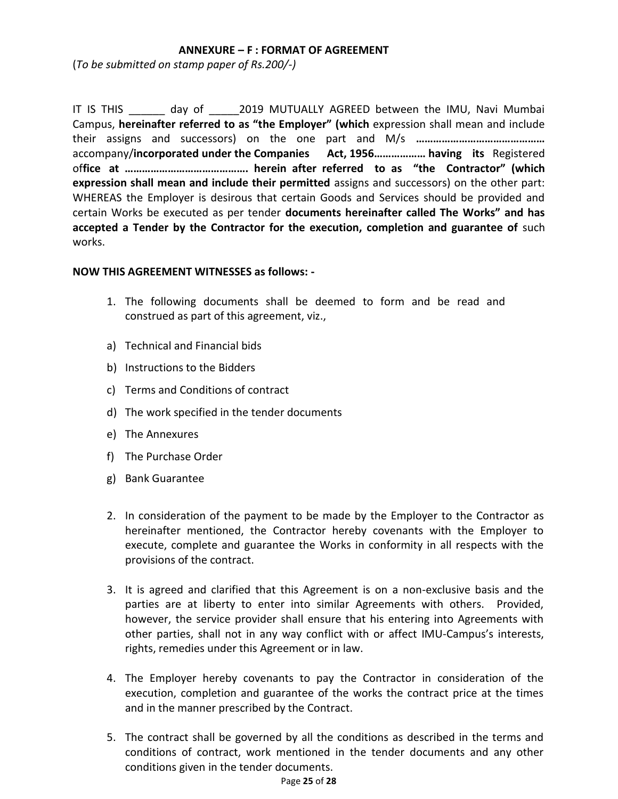### **ANNEXURE – F : FORMAT OF AGREEMENT**

(*To be submitted on stamp paper of Rs.200/-)*

IT IS THIS day of 2019 MUTUALLY AGREED between the IMU, Navi Mumbai Campus, **hereinafter referred to as "the Employer" (which** expression shall mean and include their assigns and successors) on the one part and M/s **………………………………………** accompany/**incorporated under the Companies Act, 1956……………… having its** Registered of**fice at ……………………………………. herein after referred to as "the Contractor" (which expression shall mean and include their permitted** assigns and successors) on the other part: WHEREAS the Employer is desirous that certain Goods and Services should be provided and certain Works be executed as per tender **documents hereinafter called The Works" and has accepted a Tender by the Contractor for the execution, completion and guarantee of** such works.

### **NOW THIS AGREEMENT WITNESSES as follows: -**

- 1. The following documents shall be deemed to form and be read and construed as part of this agreement, viz.,
- a) Technical and Financial bids
- b) Instructions to the Bidders
- c) Terms and Conditions of contract
- d) The work specified in the tender documents
- e) The Annexures
- f) The Purchase Order
- g) Bank Guarantee
- 2. In consideration of the payment to be made by the Employer to the Contractor as hereinafter mentioned, the Contractor hereby covenants with the Employer to execute, complete and guarantee the Works in conformity in all respects with the provisions of the contract.
- 3. It is agreed and clarified that this Agreement is on a non-exclusive basis and the parties are at liberty to enter into similar Agreements with others. Provided, however, the service provider shall ensure that his entering into Agreements with other parties, shall not in any way conflict with or affect IMU-Campus's interests, rights, remedies under this Agreement or in law.
- 4. The Employer hereby covenants to pay the Contractor in consideration of the execution, completion and guarantee of the works the contract price at the times and in the manner prescribed by the Contract.
- 5. The contract shall be governed by all the conditions as described in the terms and conditions of contract, work mentioned in the tender documents and any other conditions given in the tender documents.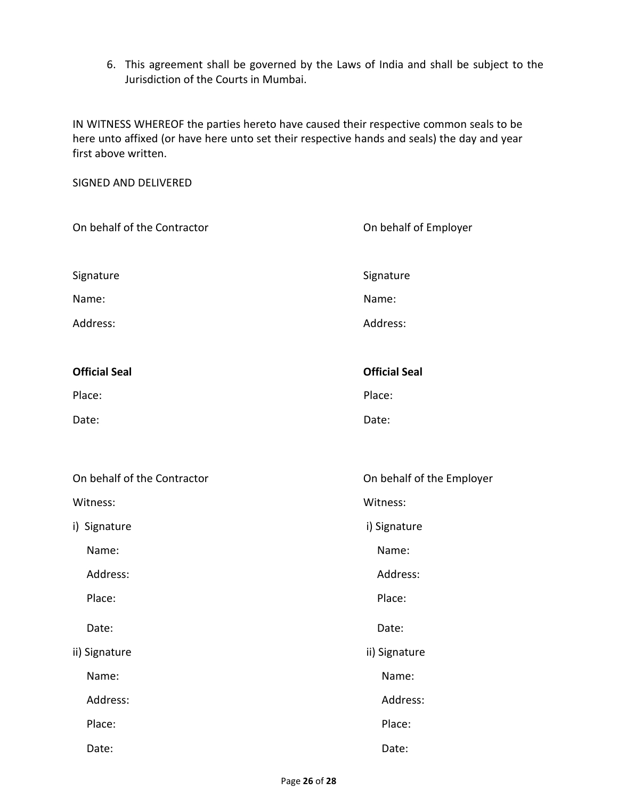6. This agreement shall be governed by the Laws of India and shall be subject to the Jurisdiction of the Courts in Mumbai.

IN WITNESS WHEREOF the parties hereto have caused their respective common seals to be here unto affixed (or have here unto set their respective hands and seals) the day and year first above written.

SIGNED AND DELIVERED On behalf of the Contractor **On behalf of Employer** On behalf of Employer Signature Signature Signature Signature Signature Signature Name: Name: Address: Address: **Official Seal Official Seal** Place: Place: Place: Place: Place: Place: Place: Place: Place: Place: Place: Place: Place: Place: Place: Place: Place: Place: Place: Place: Place: Place: Place: Place: Place: Place: Place: Place: Place: Place: Place: Place Date: Example 2014 and 2014 and 2014 and 2014 and 2014 and 2014 and 2014 and 2014 and 2014 and 2014 and 2014 and 2014 and 2014 and 2014 and 2014 and 2014 and 2014 and 2014 and 2014 and 2014 and 2014 and 2014 and 2014 and 2 On behalf of the Contractor **On behalf of the Employer** Witness: Witness: i) Signature i) Signature i) Signature i Name: Name: Address: Address: Place: Place: Place: Place: Place: Place: Place: Place: Place: Place: Place: Place: Place: Place: Place: Place: Place: Place: Place: Place: Place: Place: Place: Place: Place: Place: Place: Place: Place: Place: Place: Place Date: **Date:** Date: **Date:** Partnership of the Unit of the Unit of the Unit of the Unit of the Unit of the Unit of the Unit of the Unit of the Unit of the Unit of the Unit of the Unit of the Unit of the Unit of the Unit of ii) Signature iii) Signature Name: Name: Address: Address: Place: Place: Place: Place: Place: Place: Place: Place: Place: Place: Place: Place: Place: Place: Place: Place: Place: Place: Place: Place: Place: Place: Place: Place: Place: Place: Place: Place: Place: Place: Place: Place Date: **Date:** Date: **Date:** Partnership of the Unit of the Unit of the Unit of the Unit of the Unit of the Unit of the Unit of the Unit of the Unit of the Unit of the Unit of the Unit of the Unit of the Unit of the Unit of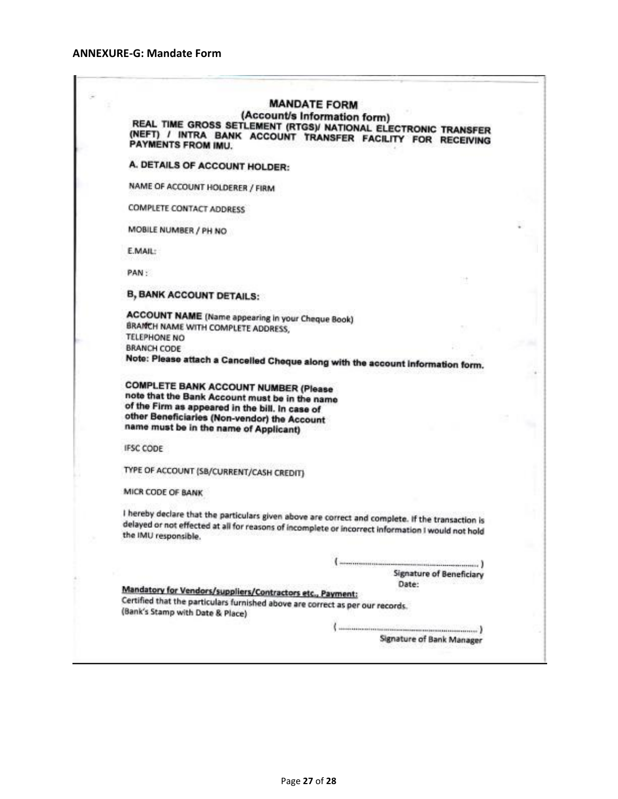#### **ANNEXURE-G: Mandate Form**

## **MANDATE FORM**

(Account/s Information form) REAL TIME GROSS SETLEMENT (RTGS)/ NATIONAL ELECTRONIC TRANSFER (NEFT) / INTRA BANK ACCOUNT TRANSFER FACILITY FOR RECEIVING<br>PAYMENTS FROM IMIL ACCOUNT TRANSFER FACILITY FOR RECEIVING PAYMENTS FROM IMU.

A. DETAILS OF ACCOUNT HOLDER:

NAME OF ACCOUNT HOLDERER / FIRM

**COMPLETE CONTACT ADDRESS** 

MOBILE NUMBER / PH NO

E.MAIL:

PAN:

**B, BANK ACCOUNT DETAILS:** 

**ACCOUNT NAME** (Name appearing in your Cheque Book) BRAMCH NAME WITH COMPLETE ADDRESS. **TELEPHONE NO BRANCH CODE** Note: Please attach a Cancelled Cheque along with the account information form.

**COMPLETE BANK ACCOUNT NUMBER (Please** note that the Bank Account must be in the name of the Firm as appeared in the bill. In case of other Beneficiaries (Non-vendor) the Account name must be in the name of Applicant)

**IFSC CODE** 

TYPE OF ACCOUNT (SB/CURRENT/CASH CREDIT)

MICR CODE OF BANK

I hereby declare that the particulars given above are correct and complete. If the transaction is delayed or not effected at all for reasons of incomplete or incorrect information I would not hold<br>the IMU responsible the IMU responsible.

> . . . . . . . . 1 **Signature of Beneficiary** Date:

Mandatory for Vendors/suppliers/Contractors etc., Payment: Certified that the particulars furnished above are correct as per our records. (Bank's Stamp with Date & Place)

> Signature of Bank Manager